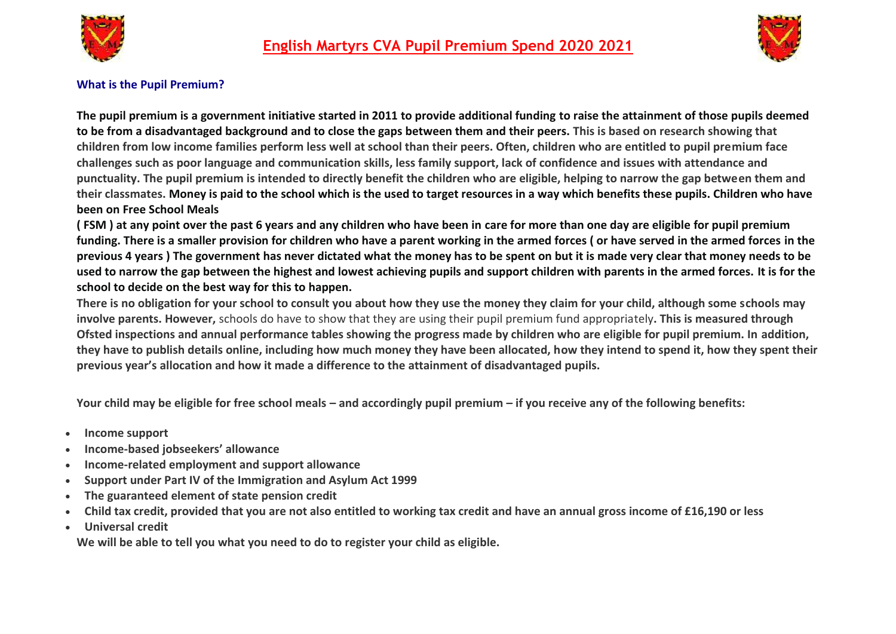



## **What is the Pupil Premium?**

**The pupil premium is a government initiative started in 2011 to provide additional funding to raise the attainment of those pupils deemed to be from a disadvantaged background and to close the gaps between them and their peers. This is based on research showing that children from low income families perform less well at school than their peers. Often, children who are entitled to pupil premium face challenges such as poor language and communication skills, less family support, lack of confidence and issues with attendance and punctuality. The pupil premium is intended to directly benefit the children who are eligible, helping to narrow the gap between them and their classmates. Money is paid to the school which is the used to target resources in a way which benefits these pupils. Children who have been on Free School Meals** 

**( FSM ) at any point over the past 6 years and any children who have been in care for more than one day are eligible for pupil premium funding. There is a smaller provision for children who have a parent working in the armed forces ( or have served in the armed forces in the previous 4 years ) The government has never dictated what the money has to be spent on but it is made very clear that money needs to be used to narrow the gap between the highest and lowest achieving pupils and support children with parents in the armed forces. It is for the school to decide on the best way for this to happen.**

**There is no obligation for your school to consult you about how they use the money they claim for your child, although some schools may involve parents. However,** schools do have to show that they are using their pupil premium fund appropriately**. This is measured through Ofsted inspections and annual performance tables showing the progress made by children who are eligible for pupil premium. In addition, they have to publish details online, including how much money they have been allocated, how they intend to spend it, how they spent their previous year's allocation and how it made a difference to the attainment of disadvantaged pupils.**

**Your child may be eligible for free school meals – and accordingly pupil premium – if you receive any of the following benefits:**

- **Income support**
- **Income-based jobseekers' allowance**
- **Income-related employment and support allowance**
- **Support under Part IV of the Immigration and Asylum Act 1999**
- **The guaranteed element of state pension credit**
- **Child tax credit, provided that you are not also entitled to working tax credit and have an annual gross income of £16,190 or less**
- **Universal credit**

**We will be able to tell you what you need to do to register your child as eligible.**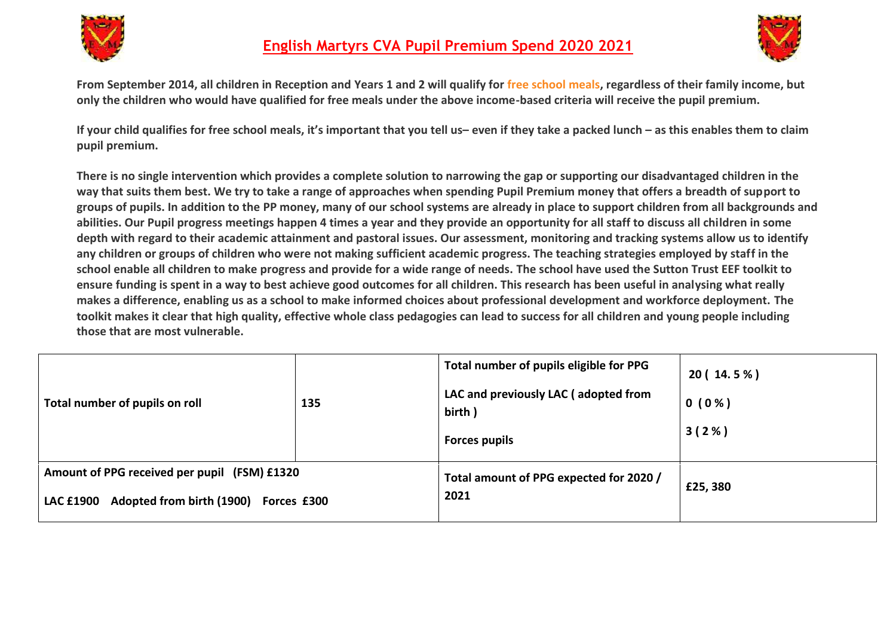



**From September 2014, all children in Reception and Years 1 and 2 will qualify for [free school meals,](http://www.theschoolrun.com/free-school-meals-for-infant-children) regardless of their family income, but only the children who would have qualified for free meals under the above income-based criteria will receive the pupil premium.**

**If your child qualifies for free school meals, it's important that you tell us– even if they take a packed lunch – as this enables them to claim pupil premium.**

**There is no single intervention which provides a complete solution to narrowing the gap or supporting our disadvantaged children in the way that suits them best. We try to take a range of approaches when spending Pupil Premium money that offers a breadth of support to groups of pupils. In addition to the PP money, many of our school systems are already in place to support children from all backgrounds and abilities. Our Pupil progress meetings happen 4 times a year and they provide an opportunity for all staff to discuss all children in some depth with regard to their academic attainment and pastoral issues. Our assessment, monitoring and tracking systems allow us to identify any children or groups of children who were not making sufficient academic progress. The teaching strategies employed by staff in the school enable all children to make progress and provide for a wide range of needs. The school have used the Sutton Trust EEF toolkit to ensure funding is spent in a way to best achieve good outcomes for all children. This research has been useful in analysing what really makes a difference, enabling us as a school to make informed choices about professional development and workforce deployment. The toolkit makes it clear that high quality, effective whole class pedagogies can lead to success for all children and young people including those that are most vulnerable.**

| Total number of pupils on roll                                                                               | 135 | Total number of pupils eligible for PPG<br>LAC and previously LAC (adopted from<br>birth)<br><b>Forces pupils</b> | 20 (14.5%)<br>$0(0\%)$<br>3(2%) |
|--------------------------------------------------------------------------------------------------------------|-----|-------------------------------------------------------------------------------------------------------------------|---------------------------------|
| Amount of PPG received per pupil (FSM) £1320<br>Adopted from birth (1900)<br><b>LAC £1900</b><br>Forces £300 |     | Total amount of PPG expected for 2020 /<br>2021                                                                   | £25,380                         |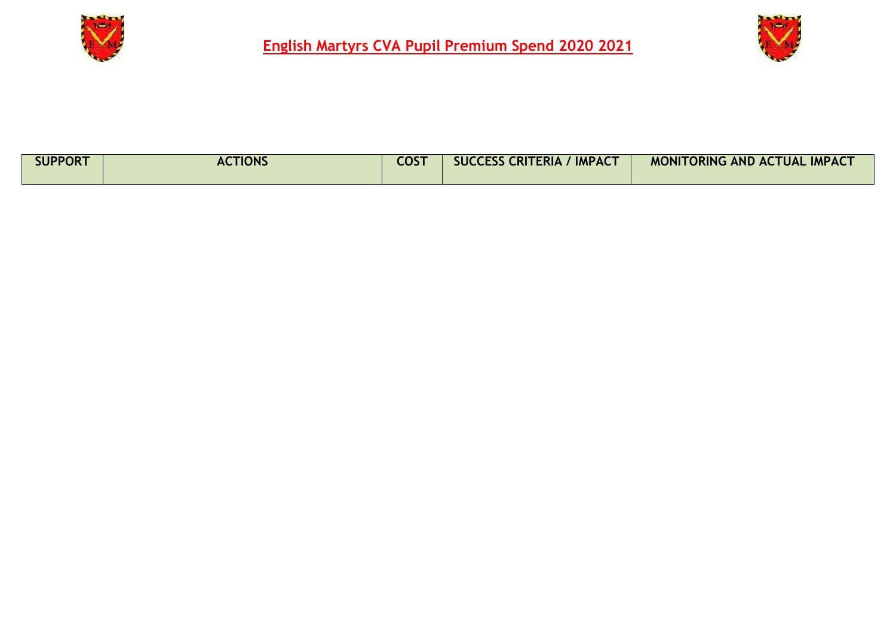



| <b>SUPPORT</b> | <b>ACTIONS</b> | <b>COST</b> | <b>IMPACT</b><br><b>SUCCESS CRITERIA</b> | <b>TORING AND ACTUAL IMPACT</b><br><b>MONIT</b> |
|----------------|----------------|-------------|------------------------------------------|-------------------------------------------------|
|----------------|----------------|-------------|------------------------------------------|-------------------------------------------------|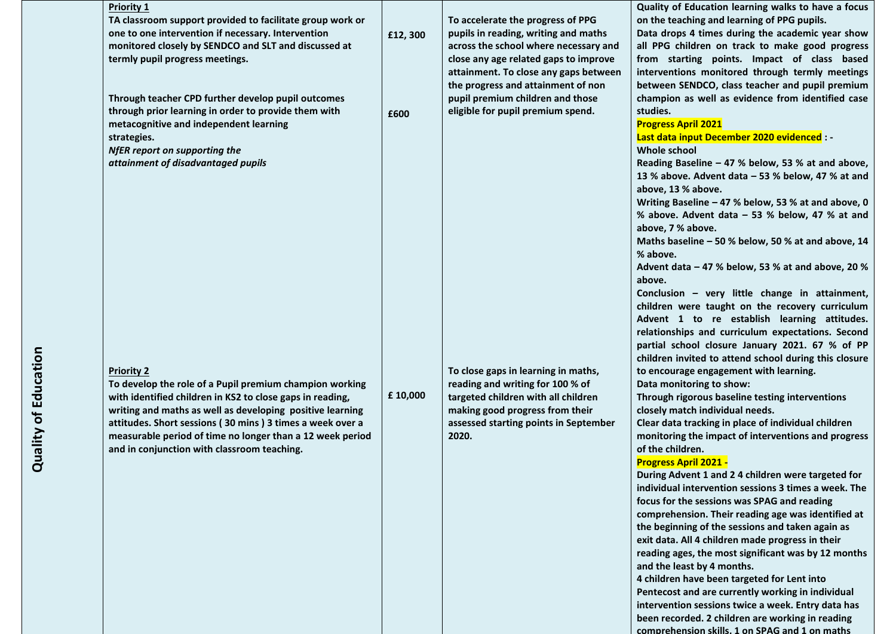| <b>Priority 1</b>                                         |          |                                       | Quality of Education learning walks to have a focus   |
|-----------------------------------------------------------|----------|---------------------------------------|-------------------------------------------------------|
| TA classroom support provided to facilitate group work or |          | To accelerate the progress of PPG     | on the teaching and learning of PPG pupils.           |
| one to one intervention if necessary. Intervention        | £12,300  | pupils in reading, writing and maths  | Data drops 4 times during the academic year show      |
| monitored closely by SENDCO and SLT and discussed at      |          | across the school where necessary and | all PPG children on track to make good progress       |
| termly pupil progress meetings.                           |          | close any age related gaps to improve | from starting points. Impact of class based           |
|                                                           |          | attainment. To close any gaps between | interventions monitored through termly meetings       |
|                                                           |          | the progress and attainment of non    | between SENDCO, class teacher and pupil premium       |
| Through teacher CPD further develop pupil outcomes        |          | pupil premium children and those      | champion as well as evidence from identified case     |
| through prior learning in order to provide them with      | £600     | eligible for pupil premium spend.     | studies.                                              |
| metacognitive and independent learning                    |          |                                       | <b>Progress April 2021</b>                            |
| strategies.                                               |          |                                       | Last data input December 2020 evidenced : -           |
| NfER report on supporting the                             |          |                                       | Whole school                                          |
| attainment of disadvantaged pupils                        |          |                                       | Reading Baseline - 47 % below, 53 % at and above,     |
|                                                           |          |                                       | 13 % above. Advent data - 53 % below, 47 % at and     |
|                                                           |          |                                       | above, 13 % above.                                    |
|                                                           |          |                                       | Writing Baseline - 47 % below, 53 % at and above, 0   |
|                                                           |          |                                       | % above. Advent data - 53 % below, 47 % at and        |
|                                                           |          |                                       | above, 7 % above.                                     |
|                                                           |          |                                       | Maths baseline - 50 % below, 50 % at and above, 14    |
|                                                           |          |                                       | % above.                                              |
|                                                           |          |                                       | Advent data - 47 % below, 53 % at and above, 20 %     |
|                                                           |          |                                       | above.                                                |
|                                                           |          |                                       | Conclusion - very little change in attainment,        |
|                                                           |          |                                       | children were taught on the recovery curriculum       |
|                                                           |          |                                       | Advent 1 to re establish learning attitudes.          |
|                                                           |          |                                       | relationships and curriculum expectations. Second     |
|                                                           |          |                                       | partial school closure January 2021. 67 % of PP       |
|                                                           |          |                                       | children invited to attend school during this closure |
| <b>Priority 2</b>                                         |          | To close gaps in learning in maths,   | to encourage engagement with learning.                |
| To develop the role of a Pupil premium champion working   |          | reading and writing for 100 % of      | Data monitoring to show:                              |
| with identified children in KS2 to close gaps in reading, | £ 10,000 | targeted children with all children   | Through rigorous baseline testing interventions       |
| writing and maths as well as developing positive learning |          | making good progress from their       | closely match individual needs.                       |
| attitudes. Short sessions (30 mins) 3 times a week over a |          | assessed starting points in September | Clear data tracking in place of individual children   |
| measurable period of time no longer than a 12 week period |          | 2020.                                 | monitoring the impact of interventions and progress   |
| and in conjunction with classroom teaching.               |          |                                       | of the children.                                      |
|                                                           |          |                                       | <b>Progress April 2021 -</b>                          |
|                                                           |          |                                       | During Advent 1 and 2 4 children were targeted for    |
|                                                           |          |                                       | individual intervention sessions 3 times a week. The  |
|                                                           |          |                                       | focus for the sessions was SPAG and reading           |
|                                                           |          |                                       | comprehension. Their reading age was identified at    |
|                                                           |          |                                       | the beginning of the sessions and taken again as      |
|                                                           |          |                                       | exit data. All 4 children made progress in their      |
|                                                           |          |                                       | reading ages, the most significant was by 12 months   |
|                                                           |          |                                       | and the least by 4 months.                            |
|                                                           |          |                                       | 4 children have been targeted for Lent into           |
|                                                           |          |                                       | Pentecost and are currently working in individual     |
|                                                           |          |                                       | intervention sessions twice a week. Entry data has    |

**been recorded. 2 children are working in reading comprehension skills, 1 on SPAG and 1 on maths**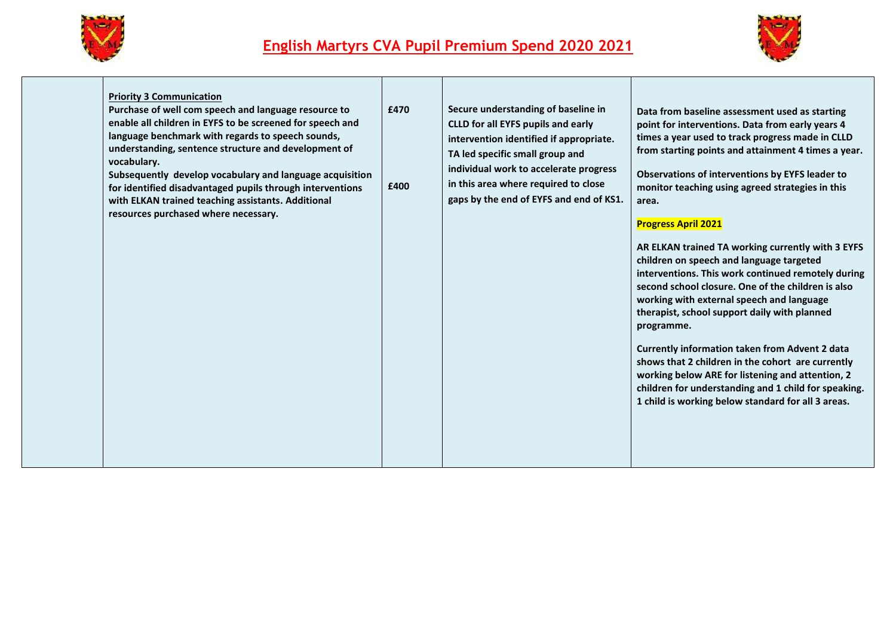



| <b>Priority 3 Communication</b><br>Purchase of well com speech and language resource to<br>enable all children in EYFS to be screened for speech and<br>language benchmark with regards to speech sounds,<br>understanding, sentence structure and development of<br>vocabulary.<br>Subsequently develop vocabulary and language acquisition<br>for identified disadvantaged pupils through interventions<br>with ELKAN trained teaching assistants. Additional<br>resources purchased where necessary. | £470<br>£400 | Secure understanding of baseline in<br><b>CLLD for all EYFS pupils and early</b><br>intervention identified if appropriate.<br>TA led specific small group and<br>individual work to accelerate progress<br>in this area where required to close<br>gaps by the end of EYFS and end of KS1. | Data from baseline assessment used as starting<br>point for interventions. Data from early years 4<br>times a year used to track progress made in CLLD<br>from starting points and attainment 4 times a year.<br>Observations of interventions by EYFS leader to<br>monitor teaching using agreed strategies in this<br>area.<br><b>Progress April 2021</b><br>AR ELKAN trained TA working currently with 3 EYFS<br>children on speech and language targeted<br>interventions. This work continued remotely during<br>second school closure. One of the children is also<br>working with external speech and language<br>therapist, school support daily with planned<br>programme.<br><b>Currently information taken from Advent 2 data</b><br>shows that 2 children in the cohort are currently<br>working below ARE for listening and attention, 2<br>children for understanding and 1 child for speaking.<br>1 child is working below standard for all 3 areas. |
|---------------------------------------------------------------------------------------------------------------------------------------------------------------------------------------------------------------------------------------------------------------------------------------------------------------------------------------------------------------------------------------------------------------------------------------------------------------------------------------------------------|--------------|---------------------------------------------------------------------------------------------------------------------------------------------------------------------------------------------------------------------------------------------------------------------------------------------|---------------------------------------------------------------------------------------------------------------------------------------------------------------------------------------------------------------------------------------------------------------------------------------------------------------------------------------------------------------------------------------------------------------------------------------------------------------------------------------------------------------------------------------------------------------------------------------------------------------------------------------------------------------------------------------------------------------------------------------------------------------------------------------------------------------------------------------------------------------------------------------------------------------------------------------------------------------------|
|---------------------------------------------------------------------------------------------------------------------------------------------------------------------------------------------------------------------------------------------------------------------------------------------------------------------------------------------------------------------------------------------------------------------------------------------------------------------------------------------------------|--------------|---------------------------------------------------------------------------------------------------------------------------------------------------------------------------------------------------------------------------------------------------------------------------------------------|---------------------------------------------------------------------------------------------------------------------------------------------------------------------------------------------------------------------------------------------------------------------------------------------------------------------------------------------------------------------------------------------------------------------------------------------------------------------------------------------------------------------------------------------------------------------------------------------------------------------------------------------------------------------------------------------------------------------------------------------------------------------------------------------------------------------------------------------------------------------------------------------------------------------------------------------------------------------|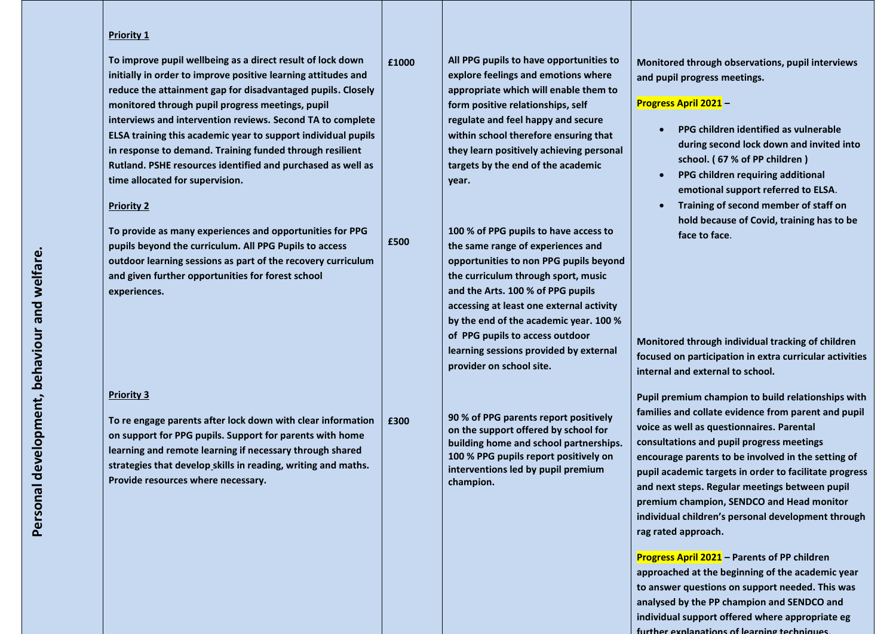#### **Priority 1**

**To improve pupil wellbeing as a direct result of lock down initially in order to improve positive learning attitudes and reduce the attainment gap for disadvantaged pupils. Closely monitored through pupil progress meetings, pupil interviews and intervention reviews. Second TA to complete ELSA training this academic year to support individual pupils in response to demand. Training funded through resilient Rutland. PSHE resources identified and purchased as well as time allocated for supervision.**

#### **Priority 2**

**To provide as many experiences and opportunities for PPG pupils beyond the curriculum. All PPG Pupils to access outdoor learning sessions as part of the recovery curriculum and given further opportunities for forest school experiences.**

#### **Priority 3**

**To re engage parents after lock down with clear information on support for PPG pupils. Support for parents with home learning and remote learning if necessary through shared strategies that develop skills in reading, writing and maths. Provide resources where necessary. £300**

**English Martyrs CVA Pupil Premium Spend 2020 2021 All PPG pupils to have opportunities to explore feelings and emotions where appropriate which will enable them to form positive relationships, self regulate and feel happy and secure within school therefore ensuring that they learn positively achieving personal targets by the end of the academic year.**

> **100 % of PPG pupils to have access to the same range of experiences and opportunities to non PPG pupils beyond the curriculum through sport, music and the Arts. 100 % of PPG pupils accessing at least one external activity by the end of the academic year. 100 % of PPG pupils to access outdoor learning sessions provided by external provider on school site.**

**90 % of PPG parents report positively on the support offered by school for building home and school partnerships. 100 % PPG pupils report positively on interventions led by pupil premium champion.**

**Monitored through observations, pupil interviews and pupil progress meetings.**

### **Progress April 2021 –**

- **PPG children identified as vulnerable during second lock down and invited into school. ( 67 % of PP children )**
- **PPG children requiring additional emotional support referred to ELSA**.
- **Training of second member of staff on hold because of Covid, training has to be face to face**.

**Monitored through individual tracking of children focused on participation in extra curricular activities internal and external to school.**

**Pupil premium champion to build relationships with families and collate evidence from parent and pupil voice as well as questionnaires. Parental consultations and pupil progress meetings encourage parents to be involved in the setting of pupil academic targets in order to facilitate progress and next steps. Regular meetings between pupil premium champion, SENDCO and Head monitor individual children's personal development through rag rated approach.**

**Progress April 2021 – Parents of PP children approached at the beginning of the academic year to answer questions on support needed. This was analysed by the PP champion and SENDCO and individual support offered where appropriate eg further explanations of learning techniques,** 

**£1000**

**£500**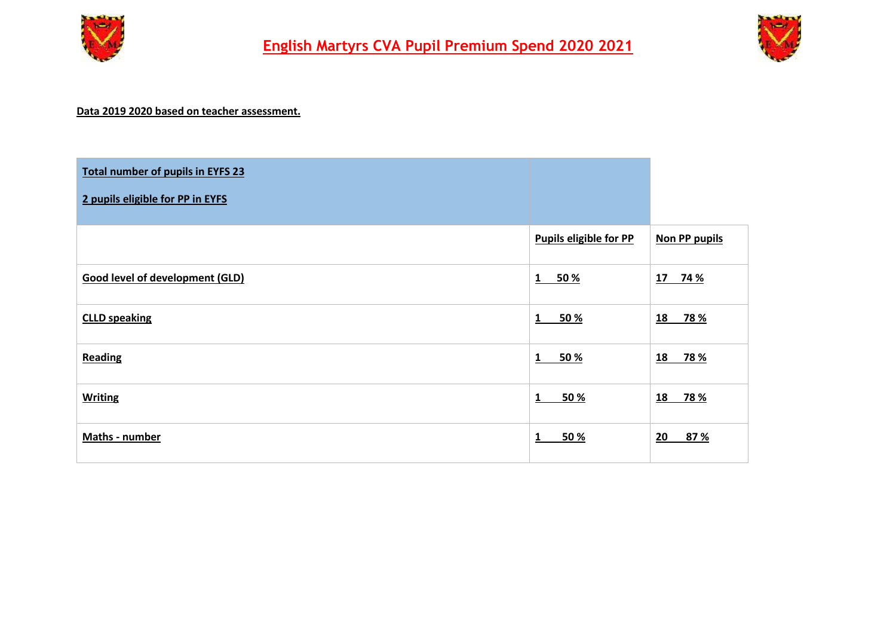



## **Data 2019 2020 based on teacher assessment.**

| Total number of pupils in EYFS 23      |                               |                         |
|----------------------------------------|-------------------------------|-------------------------|
| 2 pupils eligible for PP in EYFS       |                               |                         |
|                                        | <b>Pupils eligible for PP</b> | <b>Non PP pupils</b>    |
| <b>Good level of development (GLD)</b> | 50 %<br>$1\quad$              | 17 74 %                 |
| <b>CLLD speaking</b>                   | 50 %<br>1                     | <u>18</u><br><b>78%</b> |
| Reading                                | 50 %<br>$\mathbf{1}$          | 18<br><b>78 %</b>       |
| <b>Writing</b>                         | 50 %<br>1                     | 18<br><b>78 %</b>       |
| Maths - number                         | 50 %<br>1                     | 87 %<br>20              |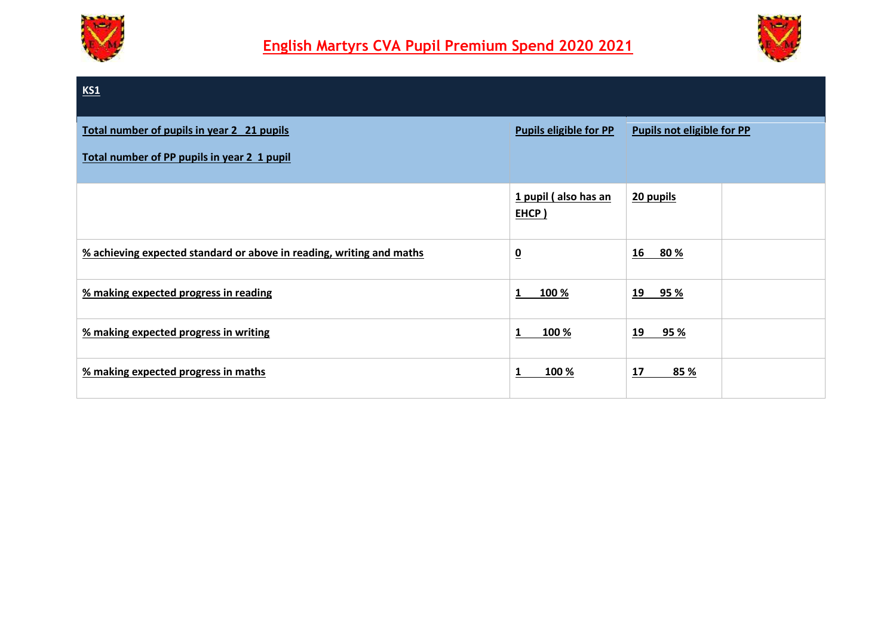



# **KS1 Total number of pupils in year 2 21 pupils Total number of PP pupils in year 2 1 pupil Pupils eligible for PP Pupils not eligible for PP 1 pupil ( also has an EHCP ) 20 pupils % achieving expected standard or above in reading, writing and maths 0 16 80 % % making expected progress in reading 1 100 % 19 95 % % making expected progress in writing 1 100 % 19 95 % % making expected progress in maths 1 100 % 17 85 %**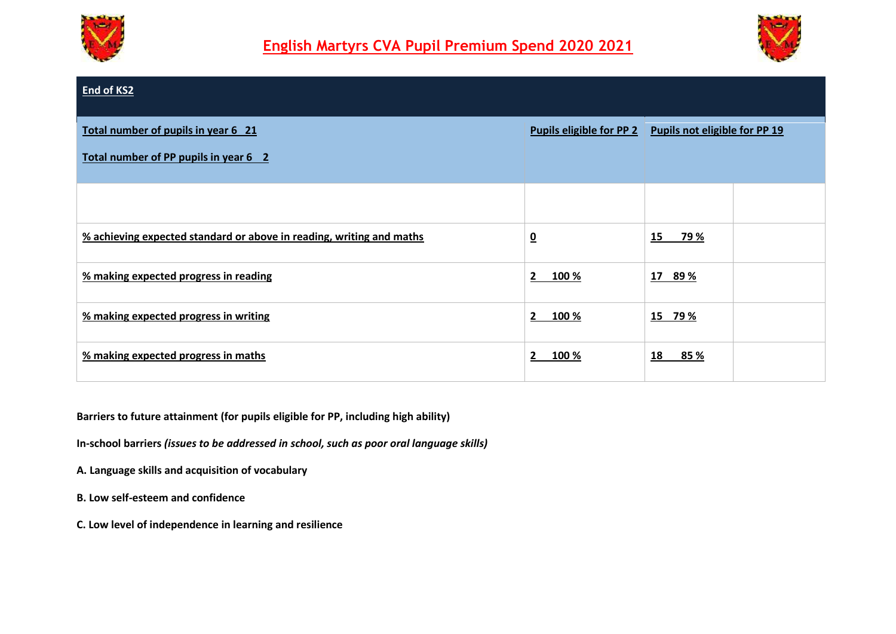



| End of KS2                                                                   |                                 |                               |  |
|------------------------------------------------------------------------------|---------------------------------|-------------------------------|--|
| Total number of pupils in year 6 21<br>Total number of PP pupils in year 6 2 | <b>Pupils eligible for PP 2</b> | Pupils not eligible for PP 19 |  |
|                                                                              |                                 |                               |  |
| % achieving expected standard or above in reading, writing and maths         | $\overline{\mathbf{0}}$         | 15<br>79 %                    |  |
| % making expected progress in reading                                        | $\mathbf{2}$<br>100 %           | 17 89 %                       |  |
| % making expected progress in writing                                        | $\mathbf{2}$<br>100 %           | 15 79 %                       |  |
| % making expected progress in maths                                          | $\mathbf{2}$<br>100 %           | 18<br>85 %                    |  |

**Barriers to future attainment (for pupils eligible for PP, including high ability)**

**In-school barriers** *(issues to be addressed in school, such as poor oral language skills)*

**A. Language skills and acquisition of vocabulary**

- **B. Low self-esteem and confidence**
- **C. Low level of independence in learning and resilience**